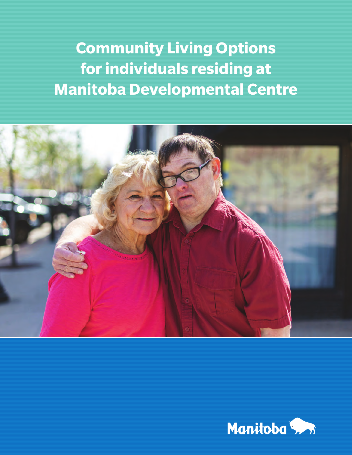# **Community Living Options for individuals residing at Manitoba Developmental Centre**



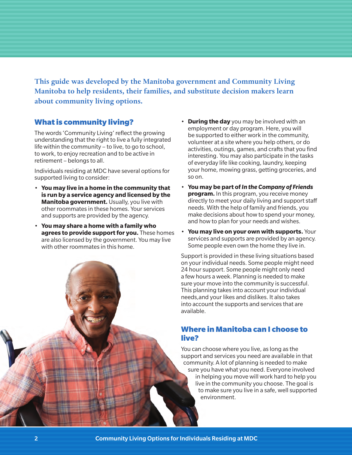**This guide was developed by the Manitoba government and Community Living Manitoba to help residents, their families, and substitute decision makers learn about community living options.**

#### What is community living?

The words 'Community Living' reflect the growing understanding that the right to live a fully integrated life within the community – to live, to go to school, to work, to enjoy recreation and to be active in retirement – belongs to all.

Individuals residing at MDC have several options for supported living to consider:

- **You may live in a home in the community that is run by a service agency and licensed by the Manitoba government.** Usually, you live with other roommates in these homes. Your services and supports are provided by the agency.
- **You may share a home with a family who agrees to provide support for you.** These homes are also licensed by the government. You may live with other roommates in this home.
- **During the day** you may be involved with an employment or day program. Here, you will be supported to either work in the community, volunteer at a site where you help others, or do activities, outings, games, and crafts that you find interesting. You may also participate in the tasks of everyday life like cooking, laundry, keeping your home, mowing grass, getting groceries, and so on.
- **You may be part of** *In the Company of Friends* **program.** In this program, you receive money directly to meet your daily living and support staff needs. With the help of family and friends, you make decisions about how to spend your money, and how to plan for your needs and wishes.
- **You may live on your own with supports.** Your services and supports are provided by an agency. Some people even own the home they live in.

Support is provided in these living situations based on your individual needs. Some people might need 24 hour support. Some people might only need a few hours a week. Planning is needed to make sure your move into the community is successful. This planning takes into account your individual needs,and your likes and dislikes. It also takes into account the supports and services that are available.

#### Where in Manitoba can I choose to live?

You can choose where you live, as long as the support and services you need are available in that community. A lot of planning is needed to make sure you have what you need. Everyone involved in helping you move will work hard to help you live in the community you choose. The goal is to make sure you live in a safe, well supported environment.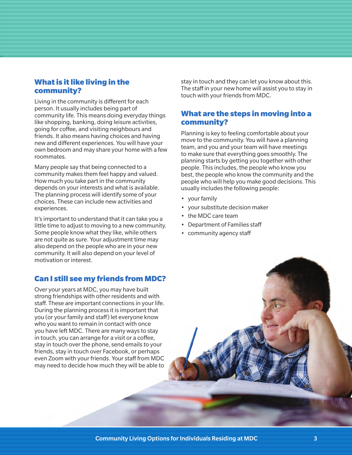## What is it like living in the community?

Living in the community is different for each person. It usually includes being part of community life. This means doing everyday things like shopping, banking, doing leisure activities, going for coffee, and visiting neighbours and friends. It also means having choices and having new and different experiences. You will have your own bedroom and may share your home with a few roommates.

Many people say that being connected to a community makes them feel happy and valued. How much you take part in the community depends on your interests and what is available. The planning process will identify some of your choices. These can include new activities and experiences.

It's important to understand that it can take you a little time to adjust to moving to a new community. Some people know what they like, while others are not quite as sure. Your adjustment time may also depend on the people who are in your new community. It will also depend on your level of motivation or interest.

#### Can I still see my friends from MDC?

Over your years at MDC, you may have built strong friendships with other residents and with staff. These are important connections in your life. During the planning process it is important that you (or your family and staff) let everyone know who you want to remain in contact with once you have left MDC. There are many ways to stay in touch, you can arrange for a visit or a coffee, stay in touch over the phone, send emails to your friends, stay in touch over Facebook, or perhaps even Zoom with your friends. Your staff from MDC may need to decide how much they will be able to

stay in touch and they can let you know about this. The staff in your new home will assist you to stay in touch with your friends from MDC.

## What are the steps in moving into a community?

Planning is key to feeling comfortable about your move to the community. You will have a planning team, and you and your team will have meetings to make sure that everything goes smoothly. The planning starts by getting you together with other people. This includes, the people who know you best, the people who know the community and the people who will help you make good decisions. This usually includes the following people:

- your family
- your substitute decision maker
- the MDC care team
- Department of Families staff
- community agency staff

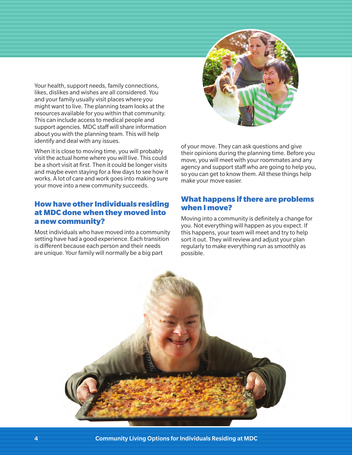

When it is close to moving time, you will probably visit the actual home where you will live. This could be a short visit at first. Then it could be longer visits and maybe even staying for a few days to see how it works. A lot of care and work goes into making sure your move into a new community succeeds.

#### How have other Individuals residing at MDC done when they moved into a new community?

Most individuals who have moved into a community setting have had a good experience. Each transition is different because each person and their needs are unique. Your family will normally be a big part



of your move. They can ask questions and give their opinions during the planning time. Before you move, you will meet with your roommates and any agency and support staff who are going to help you, so you can get to know them. All these things help make your move easier.

#### What happens if there are problems when I move?

Moving into a community is definitely a change for you. Not everything will happen as you expect. If this happens, your team will meet and try to help sort it out. They will review and adjust your plan regularly to make everything run as smoothly as possible.

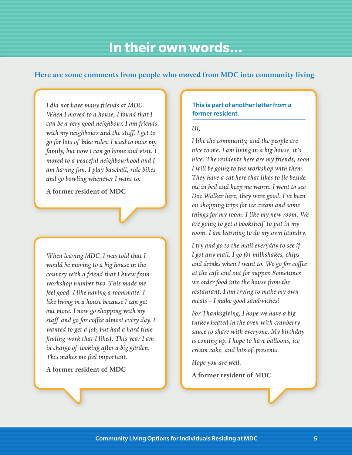## **In their own words...**

#### **Here are some comments from people who moved from MDC into community living**

*I did not have many friends at MDC. When I moved to a house, I found that I can be a very good neighbour. I am friends with my neighbours and the staff. I get to go for lots of bike rides. I used to miss my family, but now I can go home and visit. I moved to a peaceful neighbourhood and I am having fun. I play baseball, ride bikes and go bowling whenever I want to.* 

**A former resident of MDC**

*When leaving MDC, I was told that I would be moving to a big house in the country with a friend that I knew from workshop number two. This made me feel good. I like having a roommate. I like living in a house because I can get out more. I now go shopping with my staff and go for coffee almost every day. I wanted to get a job, but had a hard time finding work that I liked. This year I am in charge of looking after a big garden. This makes me feel important.* 

**A former resident of MDC**

#### This is part of another letter from a former resident.

#### *Hi,*

*I like the community, and the people are nice to me. I am living in a big house, it's nice. The residents here are my friends; soon I will be going to the workshop with them. They have a cat here that likes to lie beside me in bed and keep me warm. I went to see Doc Walker here, they were good. I've been on shopping trips for ice cream and some things for my room. I like my new room. We are going to get a bookshelf to put in my room. I am learning to do my own laundry.*

*I try and go to the mail everyday to see if I got any mail. I go for milkshakes, chips and drinks when I want to. We go for coffee at the cafe and out for supper. Sometimes we order food into the house from the restaurant. I am trying to make my own meals – I make good sandwiches!*

*For Thanksgiving, I hope we have a big turkey heated in the oven with cranberry sauce to share with everyone. My birthday is coming up. I hope to have balloons, ice cream cake, and lots of presents.* 

*Hope you are well.*

**A former resident of MDC**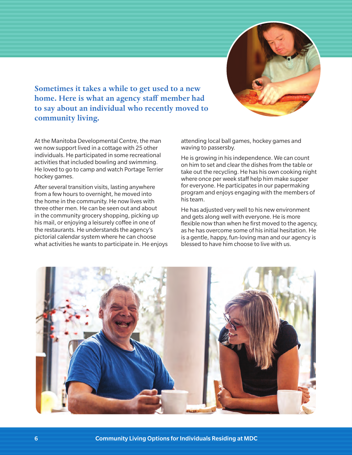

**Sometimes it takes a while to get used to a new home. Here is what an agency staff member had to say about an individual who recently moved to community living.**

At the Manitoba Developmental Centre, the man we now support lived in a cottage with 25 other individuals. He participated in some recreational activities that included bowling and swimming. He loved to go to camp and watch Portage Terrier hockey games.

After several transition visits, lasting anywhere from a few hours to overnight, he moved into the home in the community. He now lives with three other men. He can be seen out and about in the community grocery shopping, picking up his mail, or enjoying a leisurely coffee in one of the restaurants. He understands the agency's pictorial calendar system where he can choose what activities he wants to participate in. He enjoys attending local ball games, hockey games and waving to passersby.

He is growing in his independence. We can count on him to set and clear the dishes from the table or take out the recycling. He has his own cooking night where once per week staff help him make supper for everyone. He participates in our papermaking program and enjoys engaging with the members of his team.

He has adjusted very well to his new environment and gets along well with everyone. He is more flexible now than when he first moved to the agency, as he has overcome some of his initial hesitation. He is a gentle, happy, fun-loving man and our agency is blessed to have him choose to live with us.

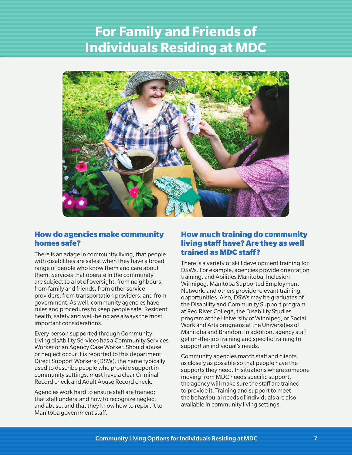## **For Family and Friends of Individuals Residing at MDC**



## How do agencies make community homes safe?

There is an adage in community living, that people with disabilities are safest when they have a broad range of people who know them and care about them. Services that operate in the community are subject to a lot of oversight, from neighbours, from family and friends, from other service providers, from transportation providers, and from government. As well, community agencies have rules and procedures to keep people safe. Resident health, safety and well-being are always the most important considerations.

Every person supported through Community Living disAbility Services has a Community Services Worker or an Agency Case Worker. Should abuse or neglect occur it is reported to this department. Direct Support Workers (DSW), the name typically used to describe people who provide support in community settings, must have a clear Criminal Record check and Adult Abuse Record check.

Agencies work hard to ensure staff are trained; that staff understand how to recognize neglect and abuse; and that they know how to report it to Manitoba government staff.

## How much training do community living staff have? Are they as well trained as MDC staff?

There is a variety of skill development training for DSWs. For example, agencies provide orientation training, and Abilities Manitoba, Inclusion Winnipeg, Manitoba Supported Employment Network, and others provide relevant training opportunities. Also, DSWs may be graduates of the Disability and Community Support program at Red River College, the Disability Studies program at the University of Winnipeg, or Social Work and Arts programs at the Universities of Manitoba and Brandon. In addition, agency staff get on-the-job training and specific training to support an individual's needs.

Community agencies match staff and clients as closely as possible so that people have the supports they need. In situations where someone moving from MDC needs specific support, the agency will make sure the staff are trained to provide it. Training and support to meet the behavioural needs of individuals are also available in community living settings.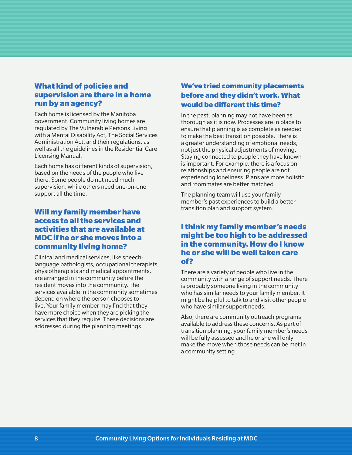#### What kind of policies and supervision are there in a home run by an agency?

Each home is licensed by the Manitoba government. Community living homes are regulated by The Vulnerable Persons Living with a Mental Disability Act, The Social Services Administration Act, and their regulations, as well as all the guidelines in the Residential Care Licensing Manual.

Each home has different kinds of supervision, based on the needs of the people who live there. Some people do not need much supervision, while others need one-on-one support all the time.

## Will my family member have access to all the services and activities that are available at MDC if he or she moves into a community living home?

Clinical and medical services, like speechlanguage pathologists, occupational therapists, physiotherapists and medical appointments, are arranged in the community before the resident moves into the community. The services available in the community sometimes depend on where the person chooses to live. Your family member may find that they have more choice when they are picking the services that they require. These decisions are addressed during the planning meetings.

## We've tried community placements before and they didn't work. What would be different this time?

In the past, planning may not have been as thorough as it is now. Processes are in place to ensure that planning is as complete as needed to make the best transition possible. There is a greater understanding of emotional needs, not just the physical adjustments of moving. Staying connected to people they have known is important. For example, there is a focus on relationships and ensuring people are not experiencing loneliness. Plans are more holistic and roommates are better matched.

The planning team will use your family member's past experiences to build a better transition plan and support system.

## I think my family member's needs might be too high to be addressed in the community. How do I know he or she will be well taken care of?

There are a variety of people who live in the community with a range of support needs. There is probably someone living in the community who has similar needs to your family member. It might be helpful to talk to and visit other people who have similar support needs.

Also, there are community outreach programs available to address these concerns. As part of transition planning, your family member's needs will be fully assessed and he or she will only make the move when those needs can be met in a community setting.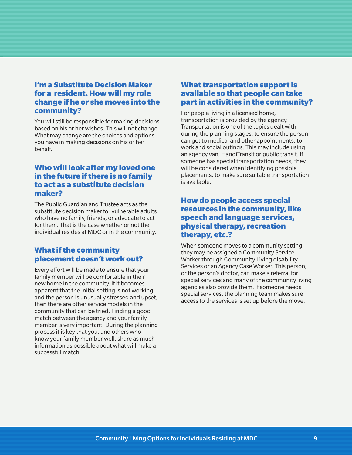#### I'm a Substitute Decision Maker for a resident. How will my role change if he or she moves into the community?

You will still be responsible for making decisions based on his or her wishes. This will not change. What may change are the choices and options you have in making decisions on his or her behalf.

#### Who will look after my loved one in the future if there is no family to act as a substitute decision maker?

The Public Guardian and Trustee acts as the substitute decision maker for vulnerable adults who have no family, friends, or advocate to act for them. That is the case whether or not the individual resides at MDC or in the community.

#### What if the community placement doesn't work out?

Every effort will be made to ensure that your family member will be comfortable in their new home in the community. If it becomes apparent that the initial setting is not working and the person is unusually stressed and upset, then there are other service models in the community that can be tried. Finding a good match between the agency and your family member is very important. During the planning process it is key that you, and others who know your family member well, share as much information as possible about what will make a successful match.

## What transportation support is available so that people can take part in activities in the community?

For people living in a licensed home, transportation is provided by the agency. Transportation is one of the topics dealt with during the planning stages, to ensure the person can get to medical and other appointments, to work and social outings. This may include using an agency van, HandiTransit or public transit. If someone has special transportation needs, they will be considered when identifying possible placements, to make sure suitable transportation is available.

## How do people access special resources in the community, like speech and language services, physical therapy, recreation therapy, etc.?

When someone moves to a community setting they may be assigned a Community Service Worker through Community Living disAbility Services or an Agency Case Worker. This person, or the person's doctor, can make a referral for special services and many of the community living agencies also provide them. If someone needs special services, the planning team makes sure access to the services is set up before the move.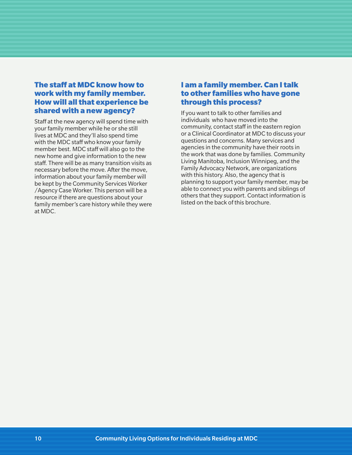## The staff at MDC know how to work with my family member. How will all that experience be shared with a new agency?

Staff at the new agency will spend time with your family member while he or she still lives at MDC and they'll also spend time with the MDC staff who know your family member best. MDC staff will also go to the new home and give information to the new staff. There will be as many transition visits as necessary before the move. After the move, information about your family member will be kept by the Community Services Worker /Agency Case Worker. This person will be a resource if there are questions about your family member's care history while they were at MDC.

## I am a family member. Can I talk to other families who have gone through this process?

If you want to talk to other families and individuals who have moved into the community, contact staff in the eastern region or a Clinical Coordinator at MDC to discuss your questions and concerns. Many services and agencies in the community have their roots in the work that was done by families. Community Living Manitoba, Inclusion Winnipeg, and the Family Advocacy Network, are organizations with this history. Also, the agency that is planning to support your family member, may be able to connect you with parents and siblings of others that they support. Contact information is listed on the back of this brochure.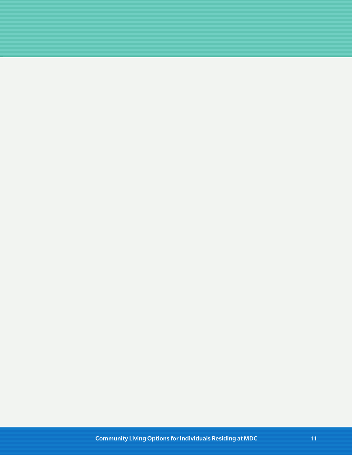Community Living Options for Individuals Residing at MDC 11